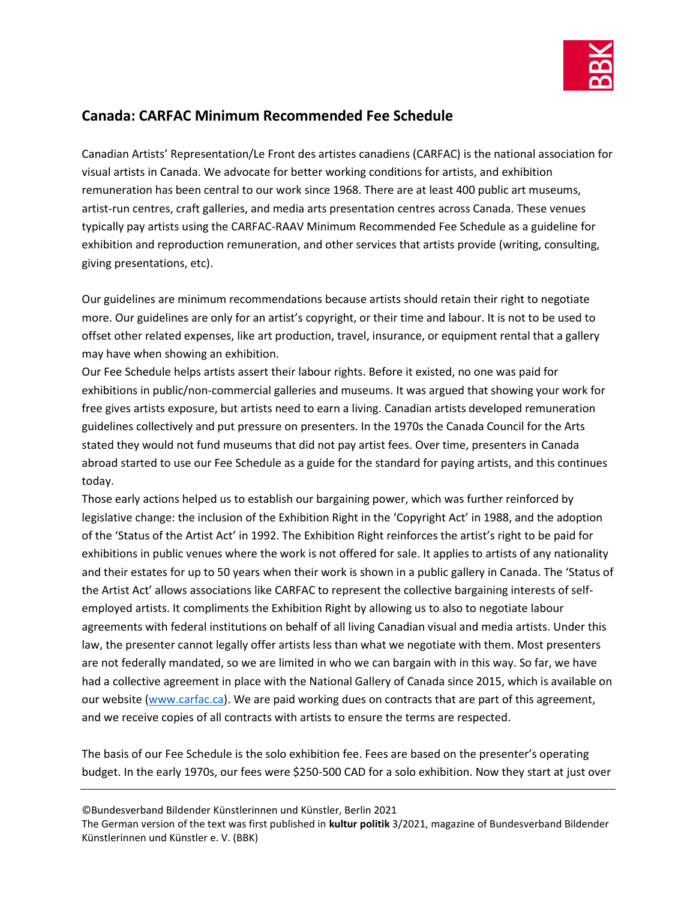

## **Canada: CARFAC Minimum Recommended Fee Schedule**

Canadian Artists' Representation/Le Front des artistes canadiens (CARFAC) is the national association for visual artists in Canada. We advocate for better working conditions for artists, and exhibition remuneration has been central to our work since 1968. There are at least 400 public art museums, artist-run centres, craft galleries, and media arts presentation centres across Canada. These venues typically pay artists using the CARFAC-RAAV Minimum Recommended Fee Schedule as a guideline for exhibition and reproduction remuneration, and other services that artists provide (writing, consulting, giving presentations, etc).

Our guidelines are minimum recommendations because artists should retain their right to negotiate more. Our guidelines are only for an artist's copyright, or their time and labour. It is not to be used to offset other related expenses, like art production, travel, insurance, or equipment rental that a gallery may have when showing an exhibition.

Our Fee Schedule helps artists assert their labour rights. Before it existed, no one was paid for exhibitions in public/non-commercial galleries and museums. It was argued that showing your work for free gives artists exposure, but artists need to earn a living. Canadian artists developed remuneration guidelines collectively and put pressure on presenters. In the 1970s the Canada Council for the Arts stated they would not fund museums that did not pay artist fees. Over time, presenters in Canada abroad started to use our Fee Schedule as a guide for the standard for paying artists, and this continues today.

Those early actions helped us to establish our bargaining power, which was further reinforced by legislative change: the inclusion of the Exhibition Right in the 'Copyright Act' in 1988, and the adoption of the 'Status of the Artist Act' in 1992. The Exhibition Right reinforces the artist's right to be paid for exhibitions in public venues where the work is not offered for sale. It applies to artists of any nationality and their estates for up to 50 years when their work is shown in a public gallery in Canada. The 'Status of the Artist Act' allows associations like CARFAC to represent the collective bargaining interests of selfemployed artists. It compliments the Exhibition Right by allowing us to also to negotiate labour agreements with federal institutions on behalf of all living Canadian visual and media artists. Under this law, the presenter cannot legally offer artists less than what we negotiate with them. Most presenters are not federally mandated, so we are limited in who we can bargain with in this way. So far, we have had a collective agreement in place with the National Gallery of Canada since 2015, which is available on our website [\(www.carfac.ca\)](http://www.carfac.ca/). We are paid working dues on contracts that are part of this agreement, and we receive copies of all contracts with artists to ensure the terms are respected.

The basis of our Fee Schedule is the solo exhibition fee. Fees are based on the presenter's operating budget. In the early 1970s, our fees were \$250-500 CAD for a solo exhibition. Now they start at just over

©Bundesverband Bildender Künstlerinnen und Künstler, Berlin 2021

The German version of the text was first published in **kultur politik** 3/2021, magazine of Bundesverband Bildender Künstlerinnen und Künstler e. V. (BBK)